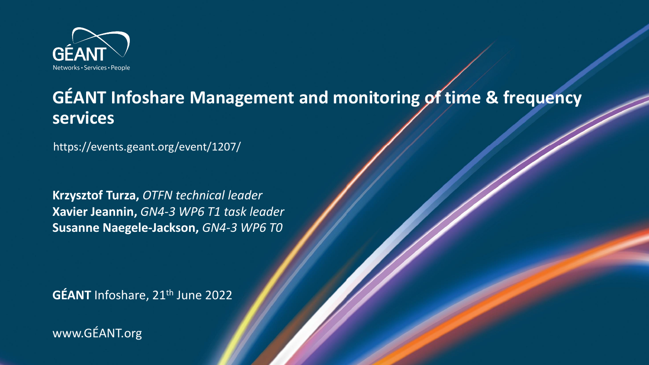

### **GÉANT Infoshare Management and monitoring of time & frequency services**

https://events.geant.org/event/1207/

**Krzysztof Turza,** *OTFN technical leader* **Xavier Jeannin,** *GN4-3 WP6 T1 task leader* **Susanne Naegele-Jackson,** *GN4-3 WP6 T0*

**GÉANT** Infoshare, 21<sup>th</sup> June 2022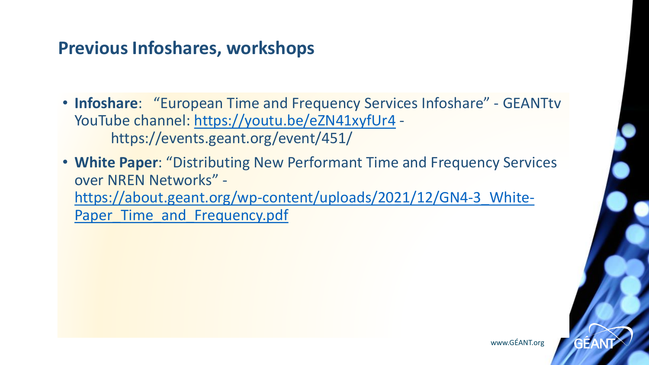### **Previous Infoshares, workshops**

• **Infoshare**: "European Time and Frequency Services Infoshare" - GEANTtv YouTube channel:<https://youtu.be/eZN41xyfUr4> https://events.geant.org/event/451/

• **White Paper**: "Distributing New Performant Time and Frequency Services over NREN Networks" https://about.geant.org/wp-content/uploads/2021/12/GN4-3 White-Paper Time and Frequency.pdf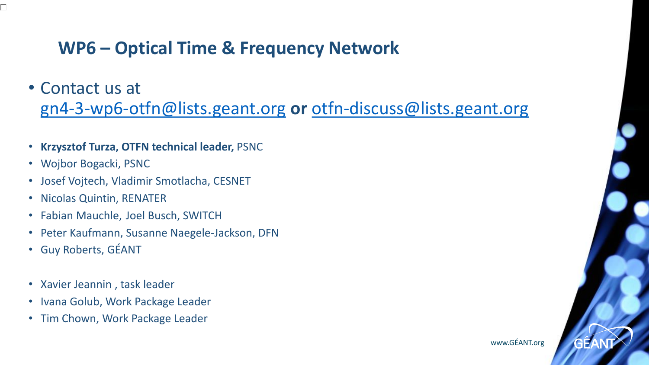### **WP6 – Optical Time & Frequency Network**

• Contact us at

[gn4-3-wp6-otfn@lists.geant.org](mailto:gn4-3-wp6-otfn@lists.geant.org) **or** [otfn-discuss@lists.geant.org](mailto:otfn-discuss@lists.geant.org)

- **Krzysztof Turza, OTFN technical leader,** PSNC
- Wojbor Bogacki, PSNC
- Josef Vojtech, Vladimir Smotlacha, CESNET
- Nicolas Quintin, RENATER
- Fabian Mauchle, Joel Busch, SWITCH
- Peter Kaufmann, Susanne Naegele-Jackson, DFN
- Guy Roberts, GÉANT
- Xavier Jeannin , task leader
- Ivana Golub, Work Package Leader
- Tim Chown, Work Package Leader

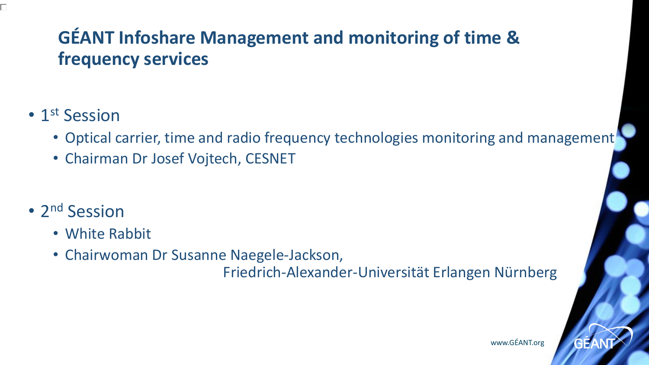### **GÉANT Infoshare Management and monitoring of time & frequency services**

### • 1<sup>st</sup> Session

- Optical carrier, time and radio frequency technologies monitoring and management
- Chairman Dr Josef Vojtech, CESNET
- 2<sup>nd</sup> Session
	- White Rabbit
	- Chairwoman Dr Susanne Naegele-Jackson,

Friedrich-Alexander-Universität Erlangen Nürnberg

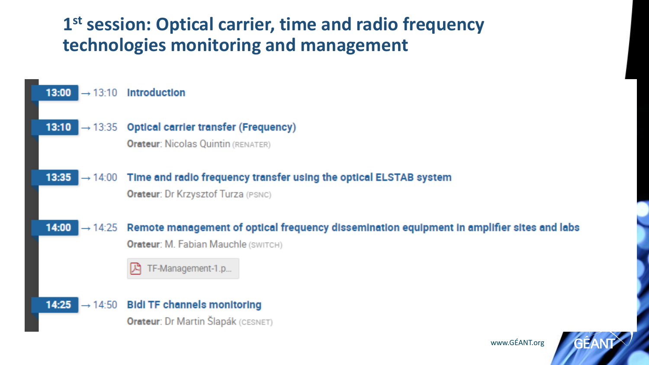### **1 st session: Optical carrier, time and radio frequency technologies monitoring and management**

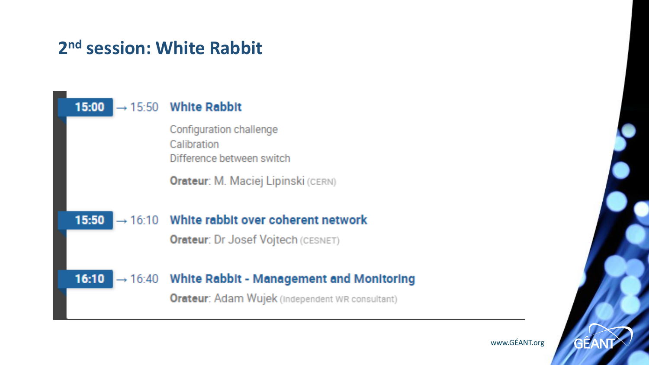### **2 nd session: White Rabbit**



www.GÉANT.org

GE/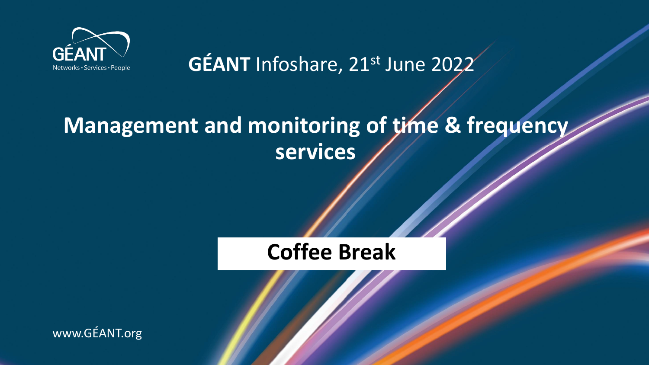

GÉANT Infoshare, 21st June 2022

## **Management and monitoring of time & frequency services**

### **Coffee Break**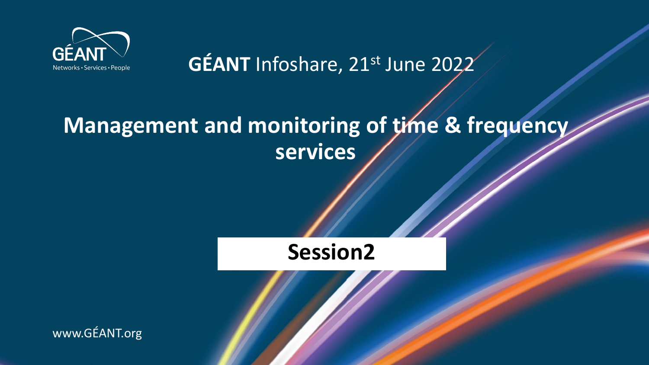

GÉANT Infoshare, 21st June 2022

## **Management and monitoring of time & frequency services**

### **Session2**